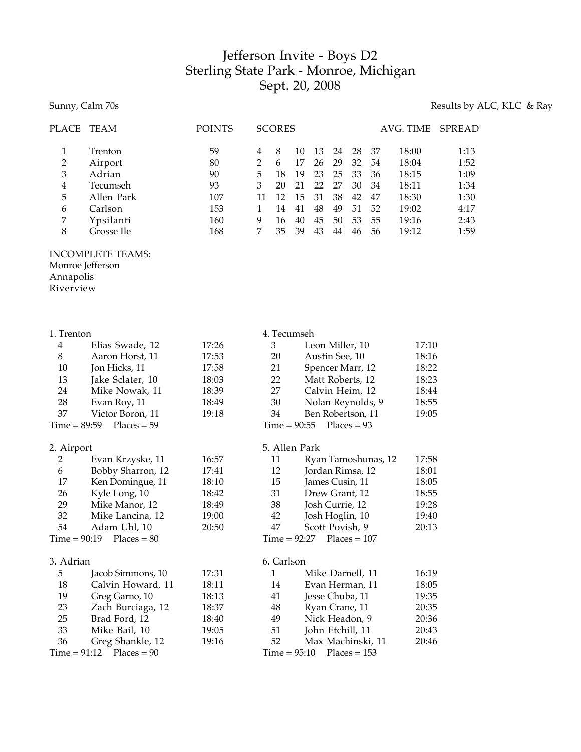## Jefferson Invite - Boys D2 Sterling State Park - Monroe, Michigan Sept. 20, 2008

## Sunny, Calm 70s Results by ALC, KLC & Ray

| <b>PLACE</b>                                                          | TEAM                                                                                         | <b>POINTS</b>                                    |                                                                                | <b>SCORES</b>                              |                                              |                                              |                                              |                                              |                                              | AVG. TIME                                                            | <b>SPREAD</b>                                                |
|-----------------------------------------------------------------------|----------------------------------------------------------------------------------------------|--------------------------------------------------|--------------------------------------------------------------------------------|--------------------------------------------|----------------------------------------------|----------------------------------------------|----------------------------------------------|----------------------------------------------|----------------------------------------------|----------------------------------------------------------------------|--------------------------------------------------------------|
| $\mathbf{1}$<br>$\overline{\mathbf{c}}$<br>3<br>4<br>5<br>6<br>7<br>8 | Trenton<br>Airport<br>Adrian<br>Tecumseh<br>Allen Park<br>Carlson<br>Ypsilanti<br>Grosse Ile | 59<br>80<br>90<br>93<br>107<br>153<br>160<br>168 | 4<br>$\boldsymbol{2}$<br>5<br>3<br>11<br>$\mathbf{1}$<br>$\boldsymbol{9}$<br>7 | 8<br>6<br>18<br>20<br>12<br>14<br>16<br>35 | 10<br>17<br>19<br>21<br>15<br>41<br>40<br>39 | 13<br>26<br>23<br>22<br>31<br>48<br>45<br>43 | 24<br>29<br>25<br>27<br>38<br>49<br>50<br>44 | 28<br>32<br>33<br>30<br>42<br>51<br>53<br>46 | 37<br>54<br>36<br>34<br>47<br>52<br>55<br>56 | 18:00<br>18:04<br>18:15<br>18:11<br>18:30<br>19:02<br>19:16<br>19:12 | 1:13<br>1:52<br>1:09<br>1:34<br>1:30<br>4:17<br>2:43<br>1:59 |
| Monroe Jefferson<br>Annapolis<br>Riverview                            | <b>INCOMPLETE TEAMS:</b>                                                                     |                                                  |                                                                                |                                            |                                              |                                              |                                              |                                              |                                              |                                                                      |                                                              |
| 1. Trenton<br>$\overline{4}$                                          | Elias Swade, 12                                                                              | 17:26                                            |                                                                                | 4. Tecumseh<br>3                           |                                              | Leon Miller, 10                              |                                              |                                              |                                              | 17:10                                                                |                                                              |
| $\,8\,$                                                               | Aaron Horst, 11                                                                              | 17:53                                            |                                                                                | 20                                         |                                              | Austin See, 10                               |                                              |                                              |                                              | 18:16                                                                |                                                              |
| 10                                                                    | Jon Hicks, 11                                                                                | 17:58                                            |                                                                                | 21                                         |                                              | Spencer Marr, 12                             |                                              |                                              |                                              | 18:22                                                                |                                                              |
| 13                                                                    | Jake Sclater, 10                                                                             | 18:03                                            |                                                                                | 22                                         |                                              | Matt Roberts, 12                             |                                              |                                              |                                              | 18:23                                                                |                                                              |
| 24                                                                    | Mike Nowak, 11                                                                               | 18:39                                            |                                                                                | 27                                         |                                              | Calvin Heim, 12                              |                                              |                                              |                                              | 18:44                                                                |                                                              |
| 28                                                                    | Evan Roy, 11                                                                                 | 18:49                                            |                                                                                | $30\,$                                     |                                              | Nolan Reynolds, 9                            |                                              |                                              |                                              | 18:55                                                                |                                                              |
| 37                                                                    | Victor Boron, 11                                                                             | 19:18                                            |                                                                                | 34                                         |                                              | Ben Robertson, 11                            |                                              |                                              |                                              | 19:05                                                                |                                                              |
| $Time = 89:59$<br>$Places = 59$<br>$Places = 93$<br>$Time = 90:55$    |                                                                                              |                                                  |                                                                                |                                            |                                              |                                              |                                              |                                              |                                              |                                                                      |                                                              |
| 2. Airport                                                            |                                                                                              |                                                  |                                                                                | 5. Allen Park                              |                                              |                                              |                                              |                                              |                                              |                                                                      |                                                              |
| 2                                                                     | Evan Krzyske, 11                                                                             | 16:57                                            |                                                                                | 11                                         |                                              |                                              |                                              |                                              | Ryan Tamoshunas, 12                          | 17:58                                                                |                                                              |
| 6                                                                     | Bobby Sharron, 12                                                                            | 17:41                                            |                                                                                | 12                                         |                                              | Jordan Rimsa, 12                             |                                              |                                              |                                              | 18:01                                                                |                                                              |
| 17                                                                    | Ken Domingue, 11                                                                             | 18:10                                            |                                                                                | 15                                         |                                              | James Cusin, 11                              |                                              |                                              |                                              | 18:05                                                                |                                                              |
| 26                                                                    | Kyle Long, 10                                                                                | 18:42                                            |                                                                                | 31                                         |                                              | Drew Grant, 12                               |                                              |                                              |                                              | 18:55                                                                |                                                              |
| 29                                                                    | Mike Manor, 12                                                                               | 18:49                                            |                                                                                | 38                                         |                                              | Josh Currie, 12                              |                                              |                                              |                                              | 19:28                                                                |                                                              |
| 32                                                                    | Mike Lancina, 12                                                                             | 19:00                                            |                                                                                | 42                                         |                                              | Josh Hoglin, 10                              |                                              |                                              |                                              | 19:40                                                                |                                                              |
| 54                                                                    | Adam Uhl, 10                                                                                 | 20:50                                            |                                                                                | 47                                         |                                              | Scott Povish, 9                              |                                              |                                              |                                              | 20:13                                                                |                                                              |
| $Time = 90:19$<br>$Time = 92:27$<br>$Places = 107$<br>$Places = 80$   |                                                                                              |                                                  |                                                                                |                                            |                                              |                                              |                                              |                                              |                                              |                                                                      |                                                              |
| 3. Adrian                                                             |                                                                                              |                                                  |                                                                                | 6. Carlson                                 |                                              |                                              |                                              |                                              |                                              |                                                                      |                                                              |
| 5                                                                     | Jacob Simmons, 10                                                                            | 17:31                                            |                                                                                | $\mathbf{1}$                               |                                              | Mike Darnell, 11                             |                                              |                                              |                                              | 16:19                                                                |                                                              |
| 18                                                                    | Calvin Howard, 11                                                                            | 18:11                                            |                                                                                | 14                                         |                                              | Evan Herman, 11                              |                                              |                                              |                                              | 18:05                                                                |                                                              |
| 19                                                                    | Greg Garno, 10                                                                               | 18:13                                            |                                                                                | 41                                         |                                              | Jesse Chuba, 11                              |                                              |                                              |                                              | 19:35                                                                |                                                              |
| 23                                                                    | Zach Burciaga, 12                                                                            | 18:37                                            |                                                                                | 48                                         |                                              | Ryan Crane, 11                               |                                              |                                              |                                              | 20:35                                                                |                                                              |
| 25                                                                    | Brad Ford, 12                                                                                | 18:40                                            |                                                                                | 49                                         |                                              | Nick Headon, 9                               |                                              |                                              |                                              | 20:36                                                                |                                                              |
| 33                                                                    | Mike Bail, 10                                                                                | 19:05                                            |                                                                                | 51                                         |                                              | John Etchill, 11                             |                                              |                                              |                                              | 20:43                                                                |                                                              |
| 36                                                                    | Greg Shankle, 12                                                                             | 19:16                                            |                                                                                | 52                                         |                                              |                                              |                                              |                                              | Max Machinski, 11                            | 20:46                                                                |                                                              |
| $Places = 90$<br>$Time = 95:10$<br>$Time = 91:12$<br>$Places = 153$   |                                                                                              |                                                  |                                                                                |                                            |                                              |                                              |                                              |                                              |                                              |                                                                      |                                                              |